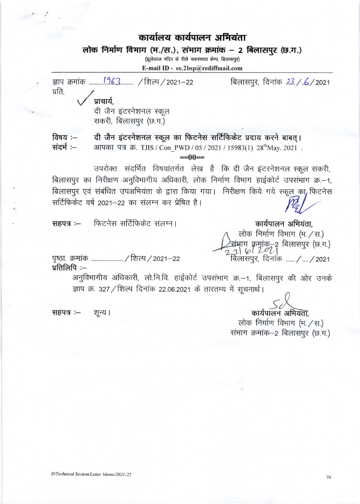## कार्यालय कार्यपालन अभियंता

## लोक निर्माण विभाग (भ./स.), संभाग क्रमांक - 2 बिलासपुर (छ.ग.)

(झलेलाल मंदिर के पीछे चकरमाठा केम्प, बिलासपुर)

E-mail ID - ee.2bsp@rediffmail.com



74